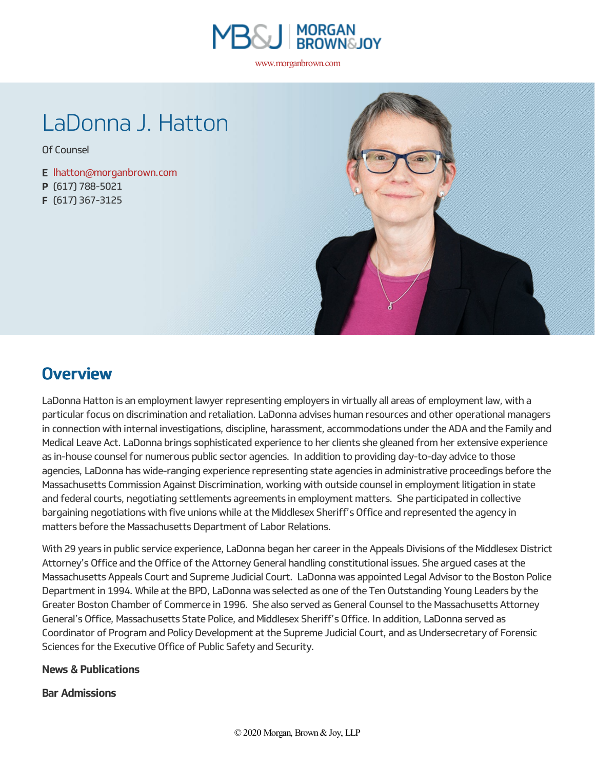

www.morganbrown.com

# LaDonna J. Hatton

Of [Counsel](https://www.morganbrown.com/news/attorney_title/of-counsel/)

**E** [lhatton@morganbrown.com](mailto:lhatton@morganbrown.com) **P** (617) 788-5021 **F** (617) 367-3125



## **Overview**

LaDonna Hatton is an employment lawyer representing employers in virtually all areas of employment law, with a particular focus on discrimination and retaliation. LaDonna advises human resources and other operationalmanagers in connection with internal investigations, discipline, harassment, accommodations under the ADA and the Family and Medical Leave Act. LaDonna brings sophisticated experience to her clients she gleaned from her extensive experience as in-house counsel for numerous public sector agencies. In addition to providing day-to-day advice to those agencies, LaDonna haswide-ranging experience representing state agenciesin administrative proceedings before the Massachusetts Commission Against Discrimination, working with outside counsel in employment litigation in state and federal courts, negotiating settlements agreements in employment matters. She participated in collective bargaining negotiations with five unions while at the Middlesex Sheriff's Office and represented the agency in matters before the Massachusetts Department of Labor Relations.

With 29 years in public service experience, LaDonna began her career in the Appeals Divisions of the Middlesex District Attorney's Office and the Office of the Attorney General handling constitutional issues. She argued cases at the Massachusetts Appeals Court and Supreme Judicial Court. LaDonnawas appointed Legal Advisorto the Boston Police Department in 1994. While at the BPD, LaDonna was selected as one of the Ten Outstanding Young Leaders by the Greater Boston Chamber of Commerce in 1996. She also served as General Counselto theMassachusetts Attorney General's Office, Massachusetts State Police, and Middlesex Sheriff's Office. In addition, LaDonna served as Coordinator of Program and Policy Development at the Supreme Judicial Court, and as Undersecretary of Forensic Sciences for the Executive Office of Public Safety and Security.

### **News & Publications**

### **Bar Admissions**